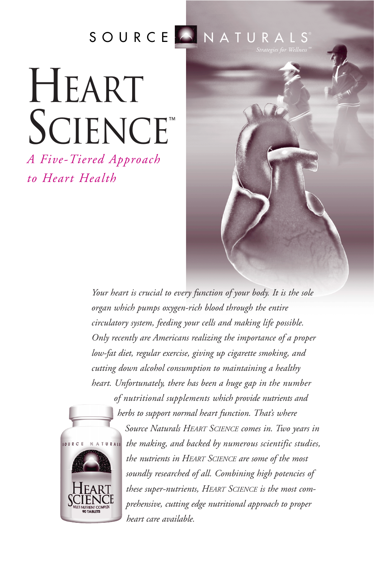# SOURCE NATURALS

# **HEART** SCIENCE™

*A Five-Tiered Approach to Heart Health*





*of nutritional supplements which provide nutrients and herbs to support normal heart function. That's where*

*Source Naturals HEART SCIENCE comes in. Two years in the making, and backed by numerous scientific studies, the nutrients in HEART SCIENCE are some of the most soundly researched of all. Combining high potencies of these super-nutrients, HEART SCIENCE is the most comprehensive, cutting edge nutritional approach to proper heart care available.*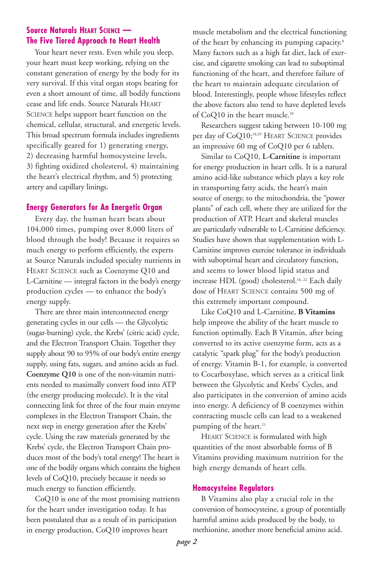### **Source Naturals HEART SCIENCE — The Five Tiered Approach to Heart Health**

Your heart never rests. Even while you sleep, your heart must keep working, relying on the constant generation of energy by the body for its very survival. If this vital organ stops beating for even a short amount of time, all bodily functions cease and life ends. Source Naturals HEART SCIENCE helps support heart function on the chemical, cellular, structural, and energetic levels. This broad spectrum formula includes ingredients specifically geared for 1) generating energy, 2) decreasing harmful homocysteine levels, 3) fighting oxidized cholesterol, 4) maintaining the heart's electrical rhythm, and 5) protecting artery and capillary linings.

#### **Energy Generators for An Energetic Organ**

Every day, the human heart beats about 104,000 times, pumping over 8,000 liters of blood through the body! Because it requires so much energy to perform efficiently, the experts at Source Naturals included specialty nutrients in HEART SCIENCE such as Coenzyme Q10 and L-Carnitine — integral factors in the body's energy production cycles — to enhance the body's energy supply.

There are three main interconnected energy generating cycles in our cells — the Glycolytic (sugar-burning) cycle, the Krebs' (citric acid) cycle, and the Electron Transport Chain. Together they supply about 90 to 95% of our body's entire energy supply, using fats, sugars, and amino acids as fuel. **Coenzyme Q10** is one of the non-vitamin nutrients needed to maximally convert food into ATP (the energy producing molecule). It is the vital connecting link for three of the four main enzyme complexes in the Electron Transport Chain, the next step in energy generation after the Krebs' cycle. Using the raw materials generated by the Krebs' cycle, the Electron Transport Chain produces most of the body's total energy! The heart is one of the bodily organs which contains the highest levels of CoQ10, precisely because it needs so much energy to function efficiently.

CoQ10 is one of the most promising nutrients for the heart under investigation today. It has been postulated that as a result of its participation in energy production, CoQ10 improves heart

muscle metabolism and the electrical functioning of the heart by enhancing its pumping capacity.<sup>8</sup> Many factors such as a high fat diet, lack of exercise, and cigarette smoking can lead to suboptimal functioning of the heart, and therefore failure of the heart to maintain adequate circulation of blood. Interestingly, people whose lifestyles reflect the above factors also tend to have depleted levels of CoQ10 in the heart muscle.<sup>10</sup>

Researchers suggest taking between 10-100 mg per day of CoQ10;<sup>18,29</sup> HEART SCIENCE provides an impressive 60 mg of CoQ10 per 6 tablets.

Similar to CoQ10, **L-Carnitine** is important for energy production in heart cells. It is a natural amino acid-like substance which plays a key role in transporting fatty acids, the heart's main source of energy, to the mitochondria, the "power plants" of each cell, where they are utilized for the production of ATP. Heart and skeletal muscles are particularly vulnerable to L-Carnitine deficiency. Studies have shown that supplementation with L-Carnitine improves exercise tolerance in individuals with suboptimal heart and circulatory function, and seems to lower blood lipid status and increase HDL (good) cholesterol.<sup>16, 22</sup> Each daily dose of HEART SCIENCE contains 500 mg of this extremely important compound.

Like CoQ10 and L-Carnitine, **B Vitamins** help improve the ability of the heart muscle to function optimally. Each B Vitamin, after being converted to its active coenzyme form, acts as a catalytic "spark plug" for the body's production of energy. Vitamin B-1, for example, is converted to Cocarboxylase, which serves as a critical link between the Glycolytic and Krebs' Cycles, and also participates in the conversion of amino acids into energy. A deficiency of B coenzymes within contracting muscle cells can lead to a weakened pumping of the heart.<sup>21</sup>

HEART SCIENCE is formulated with high quantities of the most absorbable forms of B Vitamins providing maximum nutrition for the high energy demands of heart cells.

#### **Homocysteine Regulators**

B Vitamins also play a crucial role in the conversion of homocysteine, a group of potentially harmful amino acids produced by the body, to methionine, another more beneficial amino acid.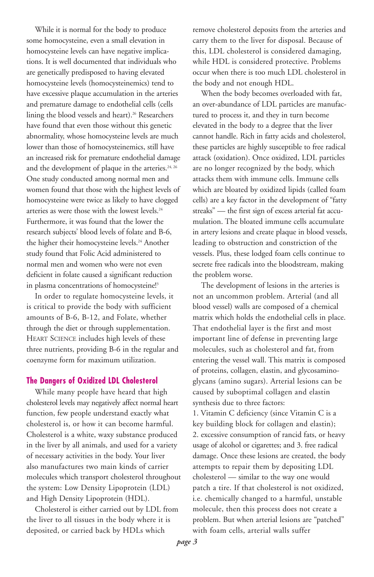While it is normal for the body to produce some homocysteine, even a small elevation in homocysteine levels can have negative implications. It is well documented that individuals who are genetically predisposed to having elevated homocysteine levels (homocysteinemics) tend to have excessive plaque accumulation in the arteries and premature damage to endothelial cells (cells lining the blood vessels and heart).<sup>26</sup> Researchers have found that even those without this genetic abnormality, whose homocysteine levels are much lower than those of homocysteinemics, still have an increased risk for premature endothelial damage and the development of plaque in the arteries.<sup>24, 26</sup> One study conducted among normal men and women found that those with the highest levels of homocysteine were twice as likely to have clogged arteries as were those with the lowest levels.<sup>24</sup> Furthermore, it was found that the lower the research subjects' blood levels of folate and B-6, the higher their homocysteine levels.<sup>24</sup> Another study found that Folic Acid administered to normal men and women who were not even deficient in folate caused a significant reduction in plasma concentrations of homocysteine!3

In order to regulate homocysteine levels, it is critical to provide the body with sufficient amounts of B-6, B-12, and Folate, whether through the diet or through supplementation. HEART SCIENCE includes high levels of these three nutrients, providing B-6 in the regular and coenzyme form for maximum utilization.

#### **The Dangers of Oxidized LDL Cholesterol**

While many people have heard that high cholesterol levels may negatively affect normal heart function, few people understand exactly what cholesterol is, or how it can become harmful. Cholesterol is a white, waxy substance produced in the liver by all animals, and used for a variety of necessary activities in the body. Your liver also manufactures two main kinds of carrier molecules which transport cholesterol throughout the system: Low Density Lipoprotein (LDL) and High Density Lipoprotein (HDL).

Cholesterol is either carried out by LDL from the liver to all tissues in the body where it is deposited, or carried back by HDLs which

remove cholesterol deposits from the arteries and carry them to the liver for disposal. Because of this, LDL cholesterol is considered damaging, while HDL is considered protective. Problems occur when there is too much LDL cholesterol in the body and not enough HDL.

When the body becomes overloaded with fat, an over-abundance of LDL particles are manufactured to process it, and they in turn become elevated in the body to a degree that the liver cannot handle. Rich in fatty acids and cholesterol, these particles are highly susceptible to free radical attack (oxidation). Once oxidized, LDL particles are no longer recognized by the body, which attacks them with immune cells. Immune cells which are bloated by oxidized lipids (called foam cells) are a key factor in the development of "fatty streaks" — the first sign of excess arterial fat accumulation. The bloated immune cells accumulate in artery lesions and create plaque in blood vessels, leading to obstruction and constriction of the vessels. Plus, these lodged foam cells continue to secrete free radicals into the bloodstream, making the problem worse.

The development of lesions in the arteries is not an uncommon problem. Arterial (and all blood vessel) walls are composed of a chemical matrix which holds the endothelial cells in place. That endothelial layer is the first and most important line of defense in preventing large molecules, such as cholesterol and fat, from entering the vessel wall. This matrix is composed of proteins, collagen, elastin, and glycosaminoglycans (amino sugars). Arterial lesions can be caused by suboptimal collagen and elastin synthesis due to three factors:

1. Vitamin C deficiency (since Vitamin C is a key building block for collagen and elastin); 2. excessive consumption of rancid fats, or heavy usage of alcohol or cigarettes; and 3. free radical damage. Once these lesions are created, the body attempts to repair them by depositing LDL cholesterol — similar to the way one would patch a tire. If that cholesterol is not oxidized, i.e. chemically changed to a harmful, unstable molecule, then this process does not create a problem. But when arterial lesions are "patched" with foam cells, arterial walls suffer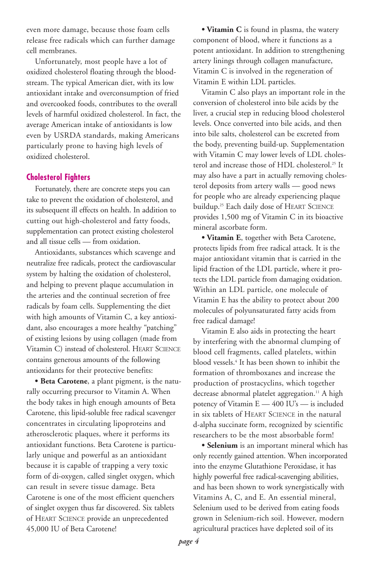even more damage, because those foam cells release free radicals which can further damage cell membranes.

Unfortunately, most people have a lot of oxidized cholesterol floating through the bloodstream. The typical American diet, with its low antioxidant intake and overconsumption of fried and overcooked foods, contributes to the overall levels of harmful oxidized cholesterol. In fact, the average American intake of antioxidants is low even by USRDA standards, making Americans particularly prone to having high levels of oxidized cholesterol.

#### **Cholesterol Fighters**

Fortunately, there are concrete steps you can take to prevent the oxidation of cholesterol, and its subsequent ill effects on health. In addition to cutting out high-cholesterol and fatty foods, supplementation can protect existing cholesterol and all tissue cells — from oxidation.

Antioxidants, substances which scavenge and neutralize free radicals, protect the cardiovascular system by halting the oxidation of cholesterol, and helping to prevent plaque accumulation in the arteries and the continual secretion of free radicals by foam cells. Supplementing the diet with high amounts of Vitamin C, a key antioxidant, also encourages a more healthy "patching" of existing lesions by using collagen (made from Vitamin C) instead of cholesterol. HEART SCIENCE contains generous amounts of the following antioxidants for their protective benefits:

**• Beta Carotene**, a plant pigment, is the naturally occurring precursor to Vitamin A. When the body takes in high enough amounts of Beta Carotene, this lipid-soluble free radical scavenger concentrates in circulating lipoproteins and atherosclerotic plaques, where it performs its antioxidant functions. Beta Carotene is particularly unique and powerful as an antioxidant because it is capable of trapping a very toxic form of di-oxygen, called singlet oxygen, which can result in severe tissue damage. Beta Carotene is one of the most efficient quenchers of singlet oxygen thus far discovered. Six tablets of HEART SCIENCE provide an unprecedented 45,000 IU of Beta Carotene!

**• Vitamin C** is found in plasma, the watery component of blood, where it functions as a potent antioxidant. In addition to strengthening artery linings through collagen manufacture, Vitamin C is involved in the regeneration of Vitamin E within LDL particles.

Vitamin C also plays an important role in the conversion of cholesterol into bile acids by the liver, a crucial step in reducing blood cholesterol levels. Once converted into bile acids, and then into bile salts, cholesterol can be excreted from the body, preventing build-up. Supplementation with Vitamin C may lower levels of LDL cholesterol and increase those of HDL cholesterol.<sup>25</sup> It may also have a part in actually removing cholesterol deposits from artery walls — good news for people who are already experiencing plaque buildup.<sup>25</sup> Each daily dose of HEART SCIENCE provides 1,500 mg of Vitamin C in its bioactive mineral ascorbate form.

**• Vitamin E**, together with Beta Carotene, protects lipids from free radical attack. It is the major antioxidant vitamin that is carried in the lipid fraction of the LDL particle, where it protects the LDL particle from damaging oxidation. Within an LDL particle, one molecule of Vitamin E has the ability to protect about 200 molecules of polyunsaturated fatty acids from free radical damage!

Vitamin E also aids in protecting the heart by interfering with the abnormal clumping of blood cell fragments, called platelets, within blood vessels.4 It has been shown to inhibit the formation of thromboxanes and increase the production of prostacyclins, which together decrease abnormal platelet aggregation.<sup>11</sup> A high potency of Vitamin E — 400 IU's — is included in six tablets of HEART SCIENCE in the natural d-alpha succinate form, recognized by scientific researchers to be the most absorbable form!

**• Selenium** is an important mineral which has only recently gained attention. When incorporated into the enzyme Glutathione Peroxidase, it has highly powerful free radical-scavenging abilities, and has been shown to work synergistically with Vitamins A, C, and E. An essential mineral, Selenium used to be derived from eating foods grown in Selenium-rich soil. However, modern agricultural practices have depleted soil of its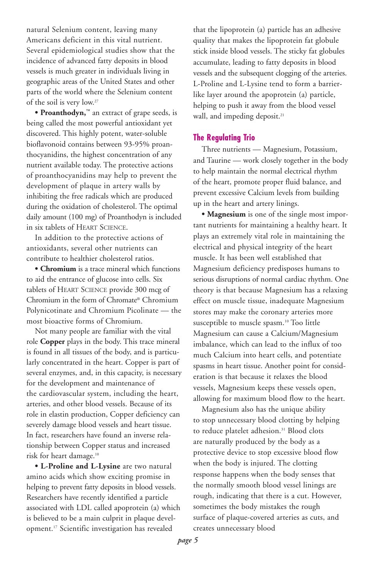natural Selenium content, leaving many Americans deficient in this vital nutrient. Several epidemiological studies show that the incidence of advanced fatty deposits in blood vessels is much greater in individuals living in geographic areas of the United States and other parts of the world where the Selenium content of the soil is very low.27

**• Proanthodyn,**™ an extract of grape seeds, is being called the most powerful antioxidant yet discovered. This highly potent, water-soluble bioflavonoid contains between 93-95% proanthocyanidins, the highest concentration of any nutrient available today. The protective actions of proanthocyanidins may help to prevent the development of plaque in artery walls by inhibiting the free radicals which are produced during the oxidation of cholesterol. The optimal daily amount (100 mg) of Proanthodyn is included in six tablets of HEART SCIENCE.

In addition to the protective actions of antioxidants, several other nutrients can contribute to healthier cholesterol ratios.

**• Chromium** is a trace mineral which functions to aid the entrance of glucose into cells. Six tablets of HEART SCIENCE provide 300 mcg of Chromium in the form of Chromate® Chromium Polynicotinate and Chromium Picolinate — the most bioactive forms of Chromium.

Not many people are familiar with the vital role **Copper** plays in the body. This trace mineral is found in all tissues of the body, and is particularly concentrated in the heart. Copper is part of several enzymes, and, in this capacity, is necessary for the development and maintenance of the cardiovascular system, including the heart, arteries, and other blood vessels. Because of its role in elastin production, Copper deficiency can severely damage blood vessels and heart tissue. In fact, researchers have found an inverse relationship between Copper status and increased risk for heart damage.10

**• L-Proline and L-Lysine** are two natural amino acids which show exciting promise in helping to prevent fatty deposits in blood vessels. Researchers have recently identified a particle associated with LDL called apoprotein (a) which is believed to be a main culprit in plaque development.17 Scientific investigation has revealed

that the lipoprotein (a) particle has an adhesive quality that makes the lipoprotein fat globule stick inside blood vessels. The sticky fat globules accumulate, leading to fatty deposits in blood vessels and the subsequent clogging of the arteries. L-Proline and L-Lysine tend to form a barrierlike layer around the apoprotein (a) particle, helping to push it away from the blood vessel wall, and impeding deposit.<sup>21</sup>

#### **The Regulating Trio**

Three nutrients — Magnesium, Potassium, and Taurine — work closely together in the body to help maintain the normal electrical rhythm of the heart, promote proper fluid balance, and prevent excessive Calcium levels from building up in the heart and artery linings.

**• Magnesium** is one of the single most important nutrients for maintaining a healthy heart. It plays an extremely vital role in maintaining the electrical and physical integrity of the heart muscle. It has been well established that Magnesium deficiency predisposes humans to serious disruptions of normal cardiac rhythm. One theory is that because Magnesium has a relaxing effect on muscle tissue, inadequate Magnesium stores may make the coronary arteries more susceptible to muscle spasm.<sup>10</sup> Too little Magnesium can cause a Calcium/Magnesium imbalance, which can lead to the influx of too much Calcium into heart cells, and potentiate spasms in heart tissue. Another point for consideration is that because it relaxes the blood vessels, Magnesium keeps these vessels open, allowing for maximum blood flow to the heart.

Magnesium also has the unique ability to stop unnecessary blood clotting by helping to reduce platelet adhesion.<sup>31</sup> Blood clots are naturally produced by the body as a protective device to stop excessive blood flow when the body is injured. The clotting response happens when the body senses that the normally smooth blood vessel linings are rough, indicating that there is a cut. However, sometimes the body mistakes the rough surface of plaque-covered arteries as cuts, and creates unnecessary blood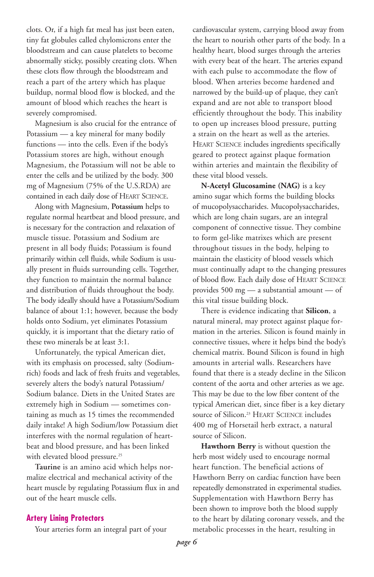clots. Or, if a high fat meal has just been eaten, tiny fat globules called chylomicrons enter the bloodstream and can cause platelets to become abnormally sticky, possibly creating clots. When these clots flow through the bloodstream and reach a part of the artery which has plaque buildup, normal blood flow is blocked, and the amount of blood which reaches the heart is severely compromised.

Magnesium is also crucial for the entrance of Potassium — a key mineral for many bodily functions — into the cells. Even if the body's Potassium stores are high, without enough Magnesium, the Potassium will not be able to enter the cells and be utilized by the body. 300 mg of Magnesium (75% of the U.S.RDA) are contained in each daily dose of HEART SCIENCE.

Along with Magnesium, **Potassium** helps to regulate normal heartbeat and blood pressure, and is necessary for the contraction and relaxation of muscle tissue. Potassium and Sodium are present in all body fluids; Potassium is found primarily within cell fluids, while Sodium is usually present in fluids surrounding cells. Together, they function to maintain the normal balance and distribution of fluids throughout the body. The body ideally should have a Potassium/Sodium balance of about 1:1; however, because the body holds onto Sodium, yet eliminates Potassium quickly, it is important that the dietary ratio of these two minerals be at least 3:1.

Unfortunately, the typical American diet, with its emphasis on processed, salty (Sodiumrich) foods and lack of fresh fruits and vegetables, severely alters the body's natural Potassium/ Sodium balance. Diets in the United States are extremely high in Sodium — sometimes containing as much as 15 times the recommended daily intake! A high Sodium/low Potassium diet interferes with the normal regulation of heartbeat and blood pressure, and has been linked with elevated blood pressure.<sup>25</sup>

**Taurine** is an amino acid which helps normalize electrical and mechanical activity of the heart muscle by regulating Potassium flux in and out of the heart muscle cells.

#### **Artery Lining Protectors**

Your arteries form an integral part of your

cardiovascular system, carrying blood away from the heart to nourish other parts of the body. In a healthy heart, blood surges through the arteries with every beat of the heart. The arteries expand with each pulse to accommodate the flow of blood. When arteries become hardened and narrowed by the build-up of plaque, they can't expand and are not able to transport blood efficiently throughout the body. This inability to open up increases blood pressure, putting a strain on the heart as well as the arteries. HEART SCIENCE includes ingredients specifically geared to protect against plaque formation within arteries and maintain the flexibility of these vital blood vessels.

**N-Acetyl Glucosamine (NAG)** is a key amino sugar which forms the building blocks of mucopolysaccharides. Mucopolysaccharides, which are long chain sugars, are an integral component of connective tissue. They combine to form gel-like matrixes which are present throughout tissues in the body, helping to maintain the elasticity of blood vessels which must continually adapt to the changing pressures of blood flow. Each daily dose of HEART SCIENCE provides 500 mg — a substantial amount — of this vital tissue building block.

There is evidence indicating that **Silicon**, a natural mineral, may protect against plaque formation in the arteries. Silicon is found mainly in connective tissues, where it helps bind the body's chemical matrix. Bound Silicon is found in high amounts in arterial walls. Researchers have found that there is a steady decline in the Silicon content of the aorta and other arteries as we age. This may be due to the low fiber content of the typical American diet, since fiber is a key dietary source of Silicon.<sup>23</sup> HEART SCIENCE includes 400 mg of Horsetail herb extract, a natural source of Silicon.

**Hawthorn Berry** is without question the herb most widely used to encourage normal heart function. The beneficial actions of Hawthorn Berry on cardiac function have been repeatedly demonstrated in experimental studies. Supplementation with Hawthorn Berry has been shown to improve both the blood supply to the heart by dilating coronary vessels, and the metabolic processes in the heart, resulting in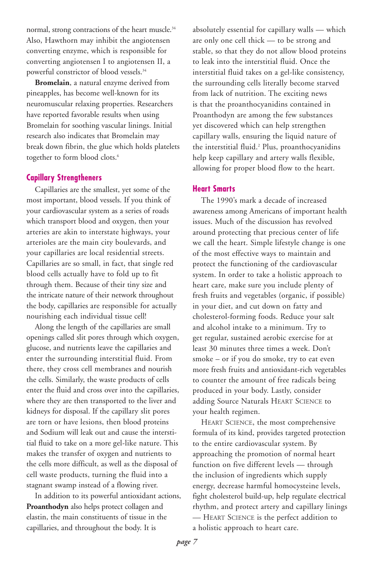normal, strong contractions of the heart muscle.<sup>34</sup> Also, Hawthorn may inhibit the angiotensen converting enzyme, which is responsible for converting angiotensen I to angiotensen II, a powerful constrictor of blood vessels.<sup>34</sup>

**Bromelain**, a natural enzyme derived from pineapples, has become well-known for its neuromuscular relaxing properties. Researchers have reported favorable results when using Bromelain for soothing vascular linings. Initial research also indicates that Bromelain may break down fibrin, the glue which holds platelets together to form blood clots.<sup>6</sup>

#### **Capillary Strengtheners**

Capillaries are the smallest, yet some of the most important, blood vessels. If you think of your cardiovascular system as a series of roads which transport blood and oxygen, then your arteries are akin to interstate highways, your arterioles are the main city boulevards, and your capillaries are local residential streets. Capillaries are so small, in fact, that single red blood cells actually have to fold up to fit through them. Because of their tiny size and the intricate nature of their network throughout the body, capillaries are responsible for actually nourishing each individual tissue cell!

Along the length of the capillaries are small openings called slit pores through which oxygen, glucose, and nutrients leave the capillaries and enter the surrounding interstitial fluid. From there, they cross cell membranes and nourish the cells. Similarly, the waste products of cells enter the fluid and cross over into the capillaries, where they are then transported to the liver and kidneys for disposal. If the capillary slit pores are torn or have lesions, then blood proteins and Sodium will leak out and cause the interstitial fluid to take on a more gel-like nature. This makes the transfer of oxygen and nutrients to the cells more difficult, as well as the disposal of cell waste products, turning the fluid into a stagnant swamp instead of a flowing river.

In addition to its powerful antioxidant actions, **Proanthodyn** also helps protect collagen and elastin, the main constituents of tissue in the capillaries, and throughout the body. It is

absolutely essential for capillary walls — which are only one cell thick — to be strong and stable, so that they do not allow blood proteins to leak into the interstitial fluid. Once the interstitial fluid takes on a gel-like consistency, the surrounding cells literally become starved from lack of nutrition. The exciting news is that the proanthocyanidins contained in Proanthodyn are among the few substances yet discovered which can help strengthen capillary walls, ensuring the liquid nature of the interstitial fluid.2 Plus, proanthocyanidins help keep capillary and artery walls flexible, allowing for proper blood flow to the heart.

#### **Heart Smarts**

The 1990's mark a decade of increased awareness among Americans of important health issues. Much of the discussion has revolved around protecting that precious center of life we call the heart. Simple lifestyle change is one of the most effective ways to maintain and protect the functioning of the cardiovascular system. In order to take a holistic approach to heart care, make sure you include plenty of fresh fruits and vegetables (organic, if possible) in your diet, and cut down on fatty and cholesterol-forming foods. Reduce your salt and alcohol intake to a minimum. Try to get regular, sustained aerobic exercise for at least 30 minutes three times a week. Don't smoke – or if you do smoke, try to eat even more fresh fruits and antioxidant-rich vegetables to counter the amount of free radicals being produced in your body. Lastly, consider adding Source Naturals HEART SCIENCE to your health regimen.

HEART SCIENCE, the most comprehensive formula of its kind, provides targeted protection to the entire cardiovascular system. By approaching the promotion of normal heart function on five different levels — through the inclusion of ingredients which supply energy, decrease harmful homocysteine levels, fight cholesterol build-up, help regulate electrical rhythm, and protect artery and capillary linings — HEART SCIENCE is the perfect addition to a holistic approach to heart care.